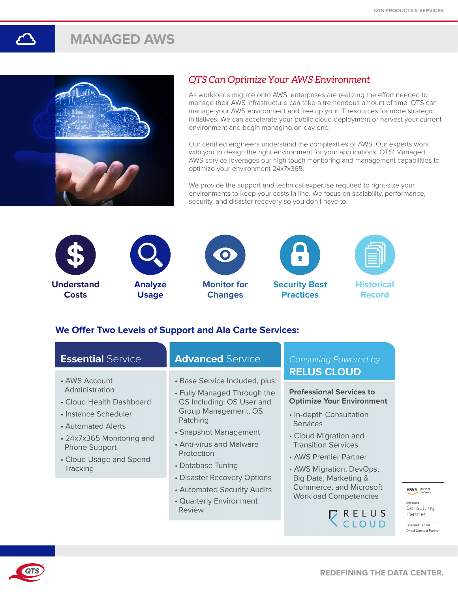# **MANAGED AWS**



## *QTS Can Optimize Your AWS Environment*

As workloads migrate onto AWS, enterprises are realizing the effort needed to manage their AWS infrastructure can take a tremendous amount of time. QTS can manage your AWS environment and free up your IT resources for more strategic initiatives. We can accelerate your public cloud deployment or harvest your current environment and begin managing on day one.

Our certified engineers understand the complexities of AWS. Our experts work with you to design the right environment for your applications. QTS' Managed AWS service leverages our high touch monitoring and management capabilities to optimize your environment 24x7x365.

We provide the support and technical expertise required to right-size your environments to keep your costs in line. We focus on scalability, performance, security, and disaster recovery so you don't have to.













**Historical Record**

## **We Offer Two Levels of Support and Ala Carte Services:**

**Review** 

| <b>Essential Service</b>                   | <b>Advanced Service</b>                                  | <b>Consulting Powered by</b>                                        |
|--------------------------------------------|----------------------------------------------------------|---------------------------------------------------------------------|
| • AWS Account                              | · Base Service Included, plus:                           | <b>RELUS CLOUD</b>                                                  |
| Administration<br>• Cloud Health Dashboard | • Fully Managed Through the<br>OS Including: OS User and | <b>Professional Services to</b><br><b>Optimize Your Environment</b> |
| • Instance Scheduler<br>• Automated Alerts | Group Management, OS<br>Patching                         | • In-depth Consultation<br><b>Services</b>                          |
| • 24x7x365 Monitoring and<br>Phone Support | • Snapshot Management<br>• Anti-virus and Malware        | • Cloud Migration and<br><b>Transition Services</b>                 |
| • Cloud Usage and Spend                    | Protection<br>• Database Tuning                          | • AWS Premier Partner                                               |
| Tracking                                   | • Disaster Recovery Options                              | • AWS Migration, DevOps,<br>Big Data, Marketing &                   |
|                                            | • Automated Security Audits<br>• Quarterly Environment   | Commerce, and Microsoft<br><b>Workload Competencies</b>             |

**RELUS**<br>CLOUD

aws partner

Advanced

Consulting Partner

Channel Partner Direct Connect Partner